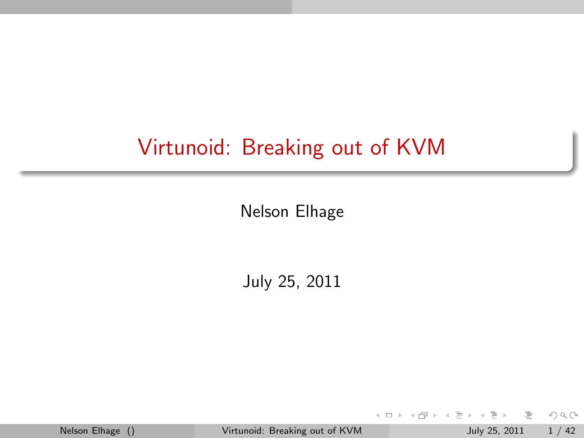# Virtunoid: Breaking out of KVM

Nelson Elhage

July 25, 2011

Nelson Elhage () [Virtunoid: Breaking out of KVM](#page-41-0) July 25, 2011 1 / 42

 $OQ$  $\,$   $\,$ 

<span id="page-0-0"></span> $\equiv$ 

イロト イ母ト イラト イヨ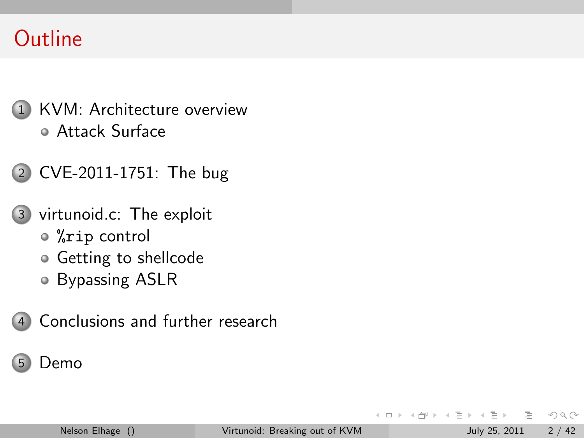# **Outline**

- 1 [KVM: Architecture overview](#page-2-0) [Attack Surface](#page-7-0)
- 2 [CVE-2011-1751: The bug](#page-9-0)
- 3 [virtunoid.c: The exploit](#page-19-0)
	- %rip [control](#page-20-0)
	- [Getting to shellcode](#page-25-0)
	- [Bypassing ASLR](#page-31-0)
- 4 [Conclusions and further research](#page-38-0)

### [Demo](#page-40-0)

 $\leftarrow$ 

 $OQ$ 

 $\equiv$ 

 $\leftarrow$   $\equiv$  $\,$  $-4$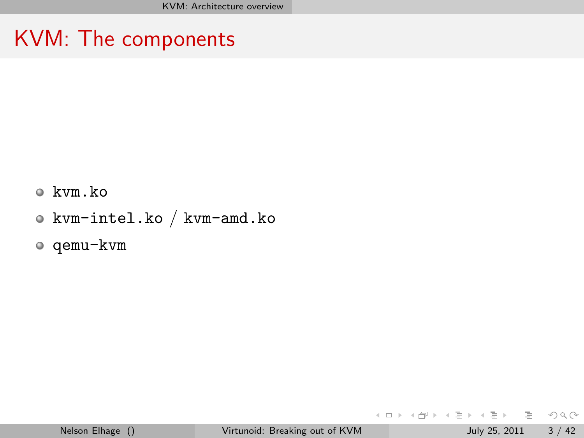# KVM: The components

- kvm.ko
- kvm-intel.ko / kvm-amd.ko
- qemu-kvm

<span id="page-2-0"></span>イロト イ母 トイミト イミト ニヨー りんぐ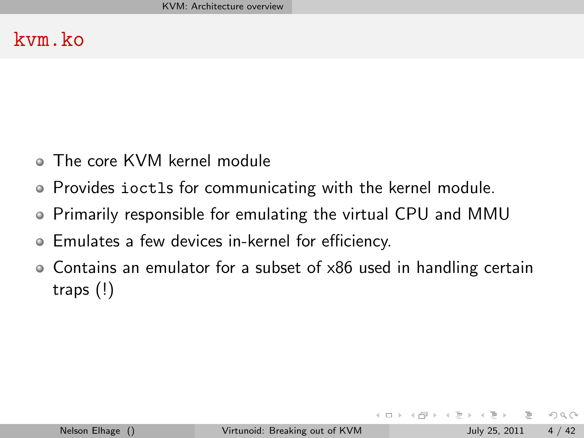### kvm.ko

- The core KVM kernel module
- Provides ioctls for communicating with the kernel module.
- Primarily responsible for emulating the virtual CPU and MMU
- Emulates a few devices in-kernel for efficiency.
- Contains an emulator for a subset of x86 used in handling certain traps (!)

 $\equiv$   $\curvearrowleft$   $\curvearrowright$ 

イロト イ母 トイラト イヨト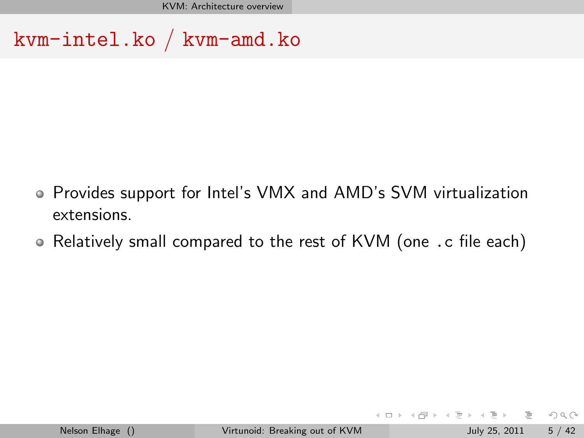KVM: Architecture overview

kvm-intel.ko / kvm-amd.ko

- Provides support for Intel's VMX and AMD's SVM virtualization extensions.
- Relatively small compared to the rest of KVM (one .c file each)

 $\equiv$   $\curvearrowleft$  a  $\curvearrowright$ 

イロト イ部 トイモト イモト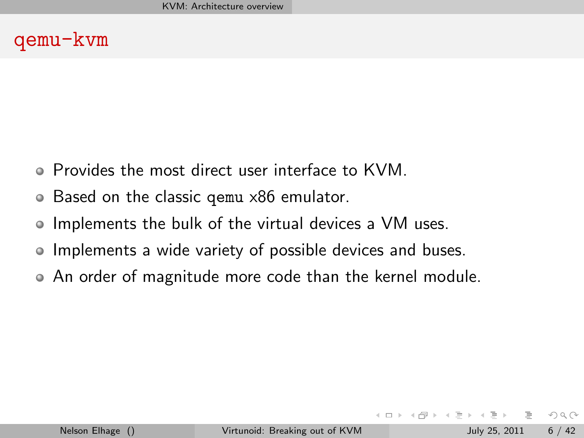### qemu-kvm

- Provides the most direct user interface to KVM.
- Based on the classic qemu x86 emulator.  $\bullet$
- Implements the bulk of the virtual devices a VM uses.
- Implements a wide variety of possible devices and buses.
- An order of magnitude more code than the kernel module.

 $OQ$ 

- 4 母 ト 4 ヨ ト -4 ヨ ト

 $\leftarrow$   $\Box$   $\rightarrow$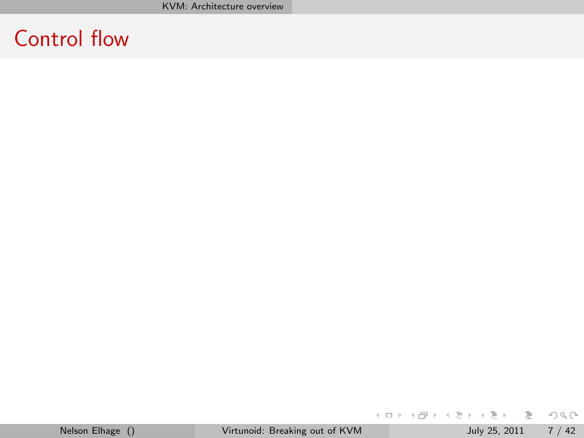# Control flow

**K ロ ▶ K 個 ▶ K ミ ▶ K ミ ▶ │ ミ │ め 9,0**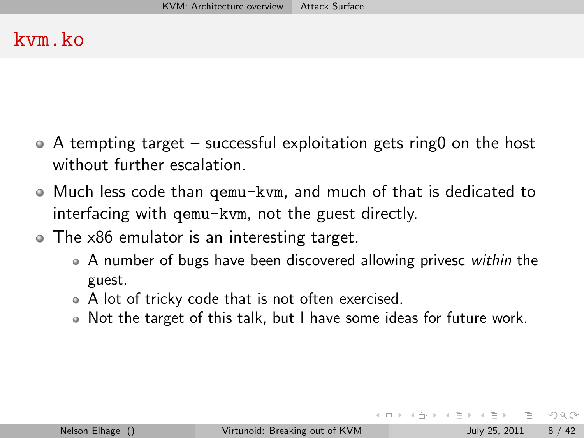### kvm.ko

- A tempting target successful exploitation gets ring0 on the host without further escalation.
- Much less code than qemu-kvm, and much of that is dedicated to interfacing with qemu-kvm, not the guest directly.
- The x86 emulator is an interesting target.
	- A number of bugs have been discovered allowing privesc within the guest.
	- A lot of tricky code that is not often exercised.
	- Not the target of this talk, but I have some ideas for future work.

<span id="page-7-0"></span> $\equiv$   $\cap$  a  $\sim$ 

イロト イ母ト イヨト イヨト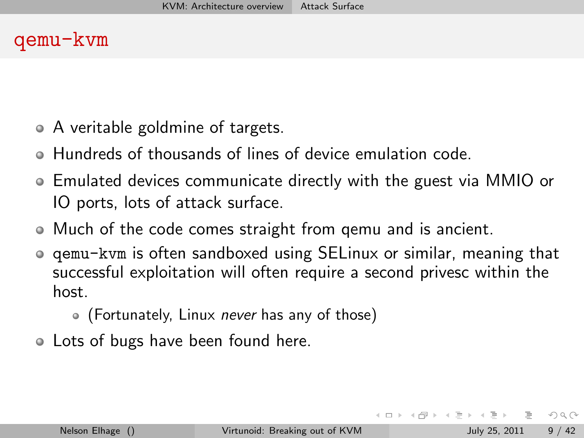### qemu-kvm

- A veritable goldmine of targets.
- Hundreds of thousands of lines of device emulation code.
- Emulated devices communicate directly with the guest via MMIO or IO ports, lots of attack surface.
- Much of the code comes straight from qemu and is ancient.
- qemu-kvm is often sandboxed using SELinux or similar, meaning that successful exploitation will often require a second privesc within the host.
	- (Fortunately, Linux *never* has any of those)
- Lots of bugs have been found here.

 $OQ$ 

イ何 ト イヨ ト イヨ ト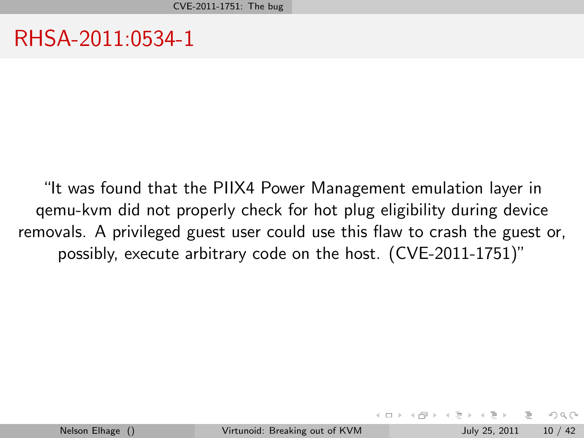RHSA-2011:0534-1

"It was found that the PIIX4 Power Management emulation layer in qemu-kvm did not properly check for hot plug eligibility during device removals. A privileged guest user could use this flaw to crash the guest or, possibly, execute arbitrary code on the host. (CVE-2011-1751)"

 $\equiv$ 

<span id="page-9-0"></span> $OQ$ 

イロト イ母ト イヨト イヨト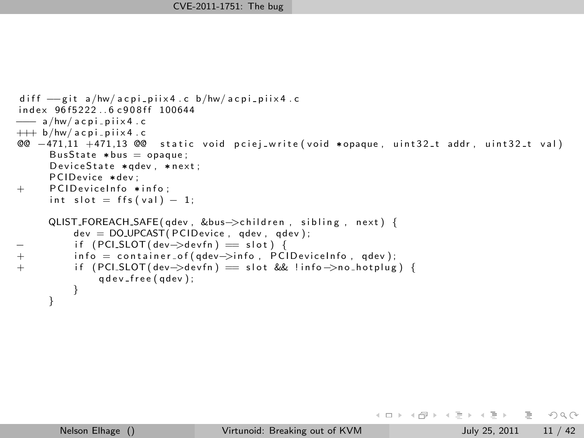```
diff =git a/hw/acpi_piix4.c b/hw/acpi_piix4.c
index 96f5222..6 c908ff 100644
−−− a /hw/ a c p i p i i x 4 . c
+++ b/hw/acpi-piix4.c
@@ -471,11 +471,13 @@ static void pciej_write(void *opaque, uint32_t addr, uint32_t val)
      BusState *bus = opaque:
      DeviceState *qdev, *next;
      PCIDevice *dev ;
+ PCID eviceInfo * info:
      int slot = \{fs(val) - 1\}QLIST FOREACH SAFE ( gdev , &bus->children , sibling , next ) {
          dev = DOUPCAST(PCIDevice, adev, adev):− if (PCI_SLOT(dev−>devfn) == slot) {
+ in fo = container_of(qdev−>info, PCIDeviceInfo, qdev);<br>+ if (PCI_SLOT(dev->devfn) = slot && !info->no_hotplug
          if ( PCI SLOT ( dev-\ge dev fn ) = s l ot && ! in f o ->n o h o t p l u g ) {
               q d e v _ f r e e ( q d e v ) :
          }
      }
```
目  $OQ$ 

イロト イ母 トイラト イヨト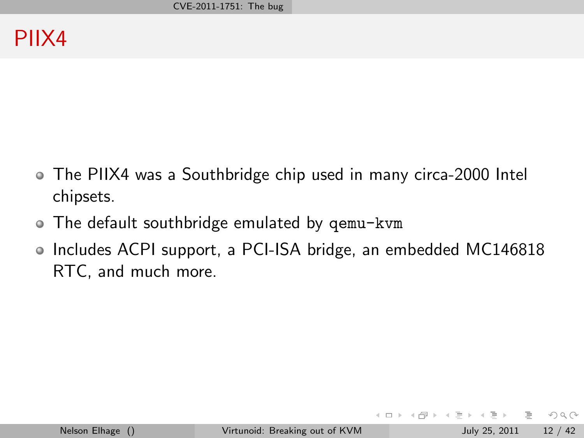- The PIIX4 was a Southbridge chip used in many circa-2000 Intel chipsets.
- The default southbridge emulated by qemu-kvm
- Includes ACPI support, a PCI-ISA bridge, an embedded MC146818 RTC, and much more.

 $\leftarrow$   $\Box$   $\rightarrow$ 

 $\left\{ \left. \left( \left. \oplus \right. \right. \left. \left. \left. \left( \left. \circ \right. \right. \right. \left. \left. \circ \right. \left. \right. \left. \left. \circ \right. \right. \left. \left. \left. \circ \right. \left. \right. \left. \left. \circ \right. \left. \right. \left. \circ \right. \left. \left. \circ \right. \left. \right. \left. \circ \right. \left. \left. \circ \right. \left. \left. \circ \right. \left. \right. \right. \left. \left. \circ \right. \left. \left. \circ \right. \left. \left. \circ \right. \left. \left. \$ 

 $OQ$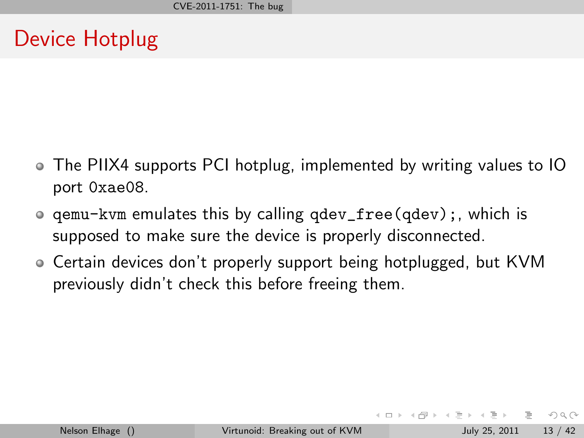### Device Hotplug

- The PIIX4 supports PCI hotplug, implemented by writing values to IO port 0xae08.
- qemu-kvm emulates this by calling qdev\_free(qdev);, which is supposed to make sure the device is properly disconnected.
- Certain devices don't properly support being hotplugged, but KVM previously didn't check this before freeing them.

 $OQ$ 

イロト イ母ト イヨト イヨト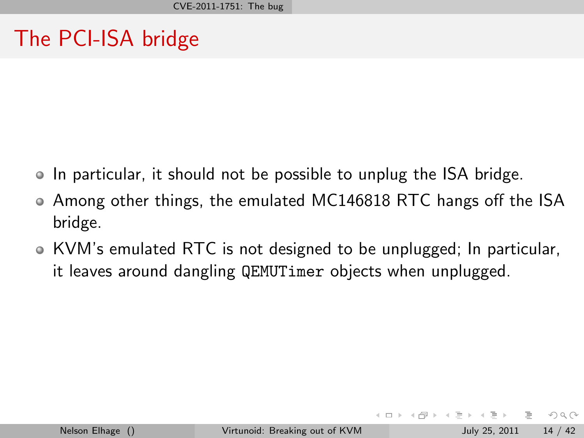# The PCI-ISA bridge

- In particular, it should not be possible to unplug the ISA bridge.
- Among other things, the emulated MC146818 RTC hangs off the ISA bridge.
- KVM's emulated RTC is not designed to be unplugged; In particular, it leaves around dangling QEMUTimer objects when unplugged.

 $OQ$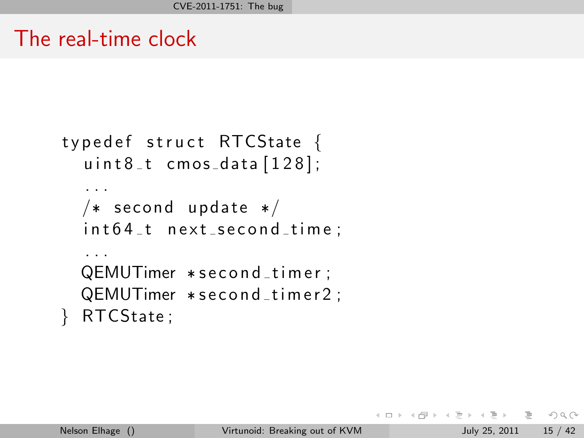### The real-time clock

```
typedef struct RTCState {
  uint8_t cmos_data [128];
  . . .
  /* second update */int 64_t next second time;
  . . .
  QEMUTimer * second_timer;
  QEMUTimer * second _timer 2;
  RTCState;
```
イロト イ何 トイヨ トイヨ トーヨー つなべ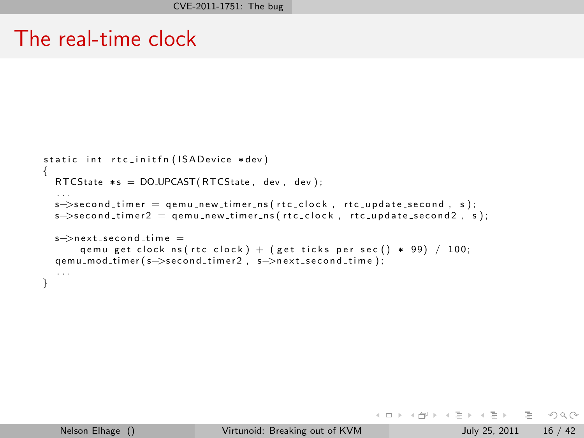### The real-time clock

```
static int rtc_initfn (ISAD evice *dev)
{
  RTCState *s = DO UPCAST(RTCState, dev, dev);
   . . .
  s->second_timer = qemu_new_timer_ns (rtc_clock, rtc_update_second, s);
  s->second_timer2 = qemu_new_timer_ns(rtc_clock, rtc_update_second2, s);
  s->next_second_time =
      q e m u _g e t _ c l o c k _ n s ( r t c _ c l o c k ) + ( g e t _ t i c k s _ p e r _ s e c ( ) * 99) / 100;
  qemu_mod_timer (s->second_timer2, s->next_second_time);
  . . .
}
```
 $\equiv$  $OQ$ 

イロト イ部 トイモト イモト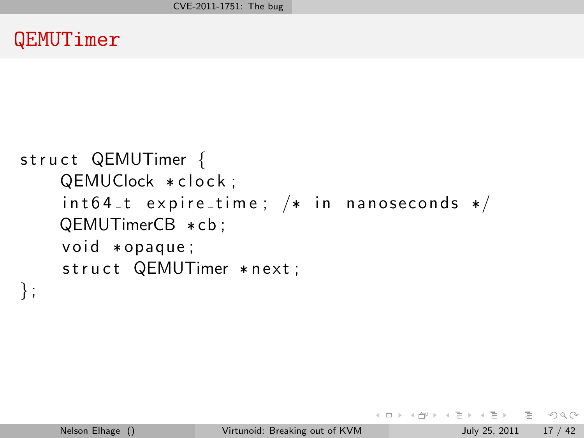### QEMUTimer

```
struct QEMUTimer {
    QEMUClock * clock;
    int 64_t expiretime; /* in nanoseconds */
    QEMUTimerCB * cb ;
    void * opaque;struct QEMUTimer * next;
} ;
```
KED KARD KED KED E VOQO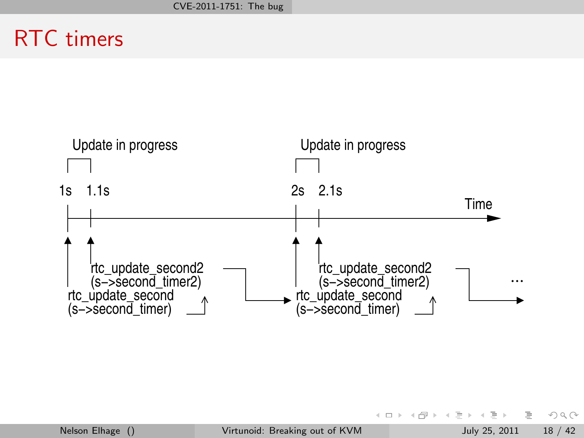# RTC timers



 $\equiv$ 

 $OQ$ 

イロト イ部 トイヨト イヨト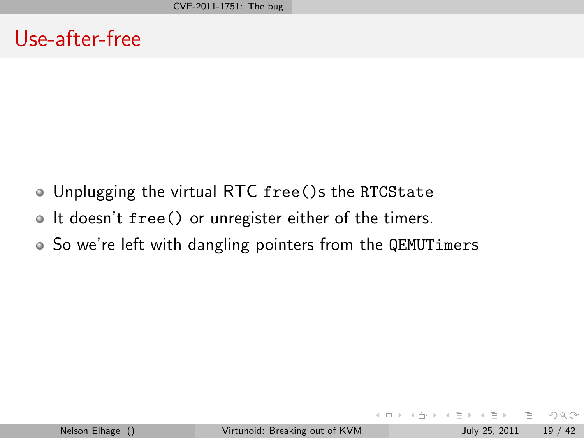### Use-after-free

- Unplugging the virtual RTC free()s the RTCState
- If doesn't free() or unregister either of the timers.
- So we're left with dangling pointers from the QEMUTimers

 $OQ$ 

 $-4$   $\equiv$   $\rightarrow$ 

 $\leftarrow$   $\Box$   $\rightarrow$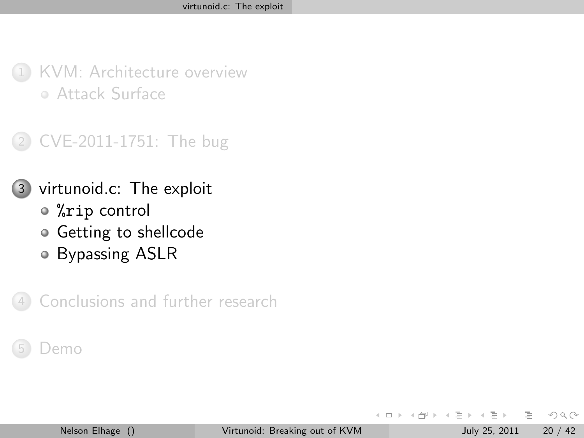

2 [CVE-2011-1751: The bug](#page-9-0)

#### 3 [virtunoid.c: The exploit](#page-19-0)

- %rip [control](#page-20-0)
- [Getting to shellcode](#page-25-0)
- [Bypassing ASLR](#page-31-0)

[Conclusions and further research](#page-38-0)

#### )emo

 $\leftarrow$ 

÷.

<span id="page-19-0"></span> $OQ$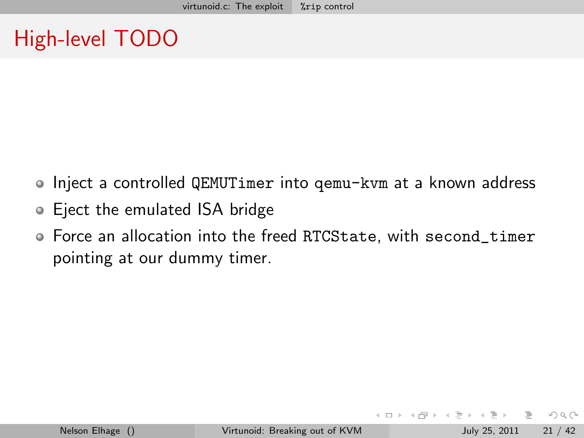# High-level TODO

- Inject a controlled QEMUTimer into gemu-kvm at a known address
- Eject the emulated ISA bridge
- Force an allocation into the freed RTCState, with second\_timer pointing at our dummy timer.

 $\leftarrow$   $\Box$   $\rightarrow$ 

<span id="page-20-0"></span> $\Omega$ 

- 4 何 ト 4 ヨ ト 4 ヨ ト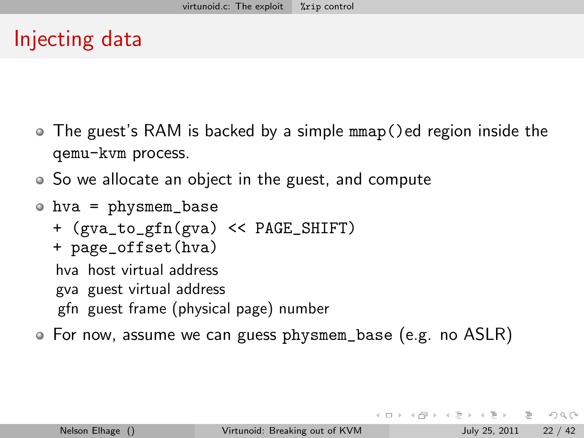### Injecting data

- The guest's RAM is backed by a simple mmap()ed region inside the qemu-kvm process.
- So we allocate an object in the guest, and compute
- hva = physmem\_base + (gva\_to\_gfn(gva) << PAGE\_SHIFT) + page\_offset(hva) hva host virtual address gva guest virtual address gfn guest frame (physical page) number
- For now, assume we can guess physmem\_base (e.g. no ASLR)

 $\mathcal{A} \square \rightarrow \mathcal{A} \oplus \mathcal{B} \rightarrow \mathcal{A} \oplus \mathcal{B} \rightarrow \mathcal{B} \rightarrow \mathcal{B} \rightarrow \mathcal{A} \oplus \mathcal{A} \oplus \mathcal{A}$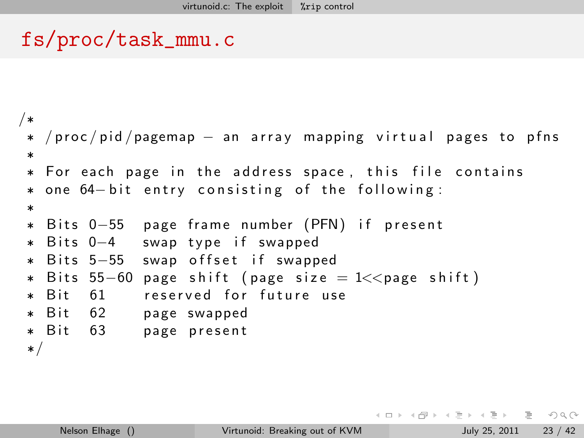### fs/proc/task\_mmu.c

```
/*
 * /proc/pid/pagemap − an array mapping virtual pages to pfns
**For each page in the address space, this file contains
 *one 64-bit entry consisting of the following:
 **Bits 0−55 page frame number (PFN) if present
* Bits 0-4
             swap type if swapped
* Bits 5-55
             swap offset if swapped
 * Bits 55−60 page shift (page size = 1<<page shift)
* Rit 61
             reserved for future use
* Bit 62
             page swapped
* Bit 63
             page present
*/
```
イ何 トイミト イミト

 $\equiv$   $\curvearrowleft$  a  $\curvearrowright$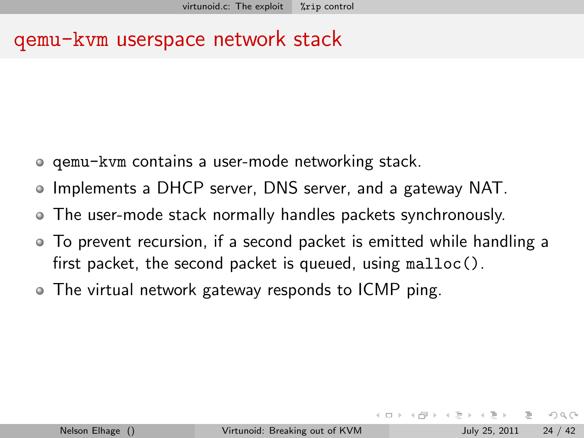### qemu-kvm userspace network stack

- qemu-kvm contains a user-mode networking stack.
- Implements a DHCP server, DNS server, and a gateway NAT.
- The user-mode stack normally handles packets synchronously.
- To prevent recursion, if a second packet is emitted while handling a first packet, the second packet is queued, using malloc().
- The virtual network gateway responds to ICMP ping.

 $OQ$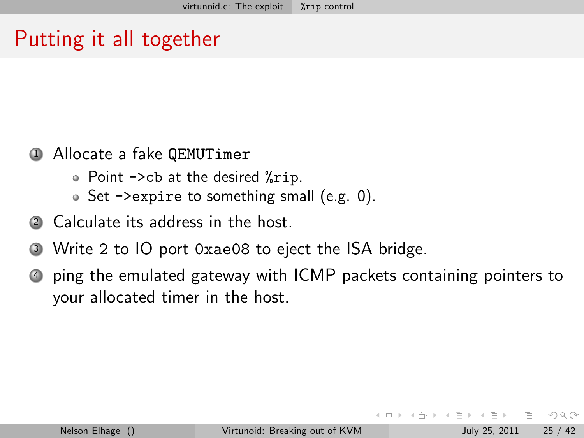# Putting it all together

#### <sup>1</sup> Allocate a fake QEMUTimer

- Point ->cb at the desired %rip.
- Set ->expire to something small (e.g. 0).
- <sup>2</sup> Calculate its address in the host.
- <sup>3</sup> Write 2 to IO port 0xae08 to eject the ISA bridge.
- <sup>4</sup> ping the emulated gateway with ICMP packets containing pointers to your allocated timer in the host.

 $OQ$ 

何 ト ィミ ト ィミ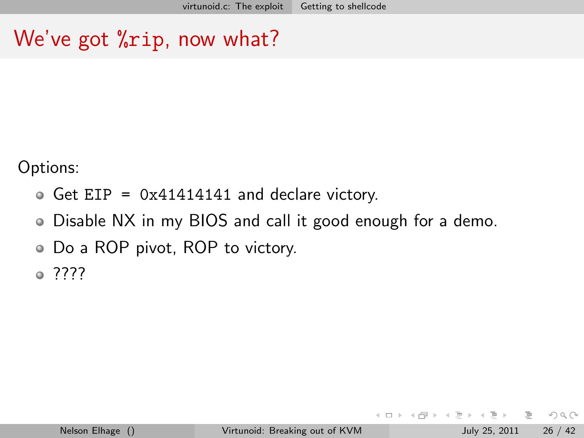# We've got "rip, now what?

Options:

- $\bullet$  Get EIP = 0x41414141 and declare victory.
- Disable NX in my BIOS and call it good enough for a demo.
- Do a ROP pivot, ROP to victory.

????

<span id="page-25-0"></span> $OQ$ 

←何 ト ィヨ ト ィヨ ト

 $\leftarrow$   $\Box$   $\rightarrow$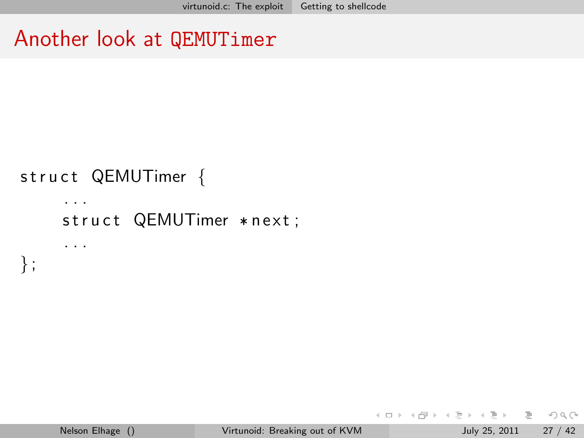### Another look at QEMUTimer

# struct QEMUTimer {

. . .

} ;

. . . struct QEMUTimer \* next;

イロト イ母 トイミト イミト ニヨー りんぐ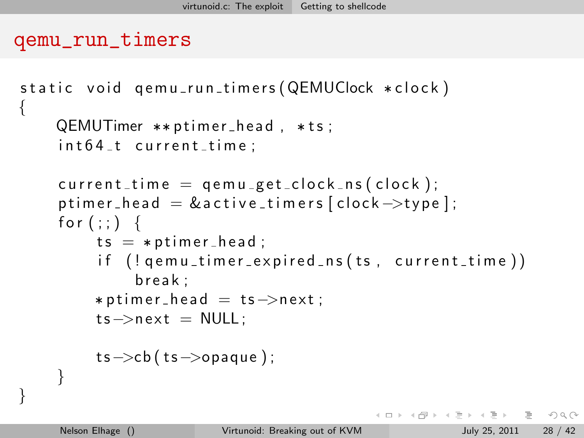```
qemu_run_timers
```

```
static void qemu_run_timers (QEMUClock * clock)
\{QEMUTimer **ptimer_head, *ts;
     int 64_t current_time;
     current_time = qemu.get.close_ns(clock);p timer head = & active timers [clock \rightarrow type];
    for (:) {
         ts = *ptimer\_head;
          if ( ! qemu_timer_expired_ns (ts, current_time))
              break:* p t imer_head = ts->next;
         ts \rightarrow next = NULL:
         ts \rightarrow cb (ts \rightarrow opaque);
    }
}
```
同 ▶ 4 ヨ ▶ 4 ヨ ▶ │ ヨ│ │ ◆ ○ Q ◇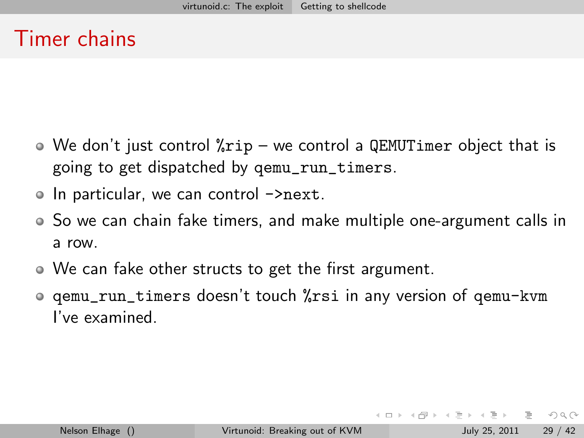### Timer chains

- $\bullet$  We don't just control  $\gamma$ rip we control a QEMUTimer object that is going to get dispatched by qemu\_run\_timers.
- In particular, we can control ->next.
- So we can chain fake timers, and make multiple one-argument calls in a row.
- We can fake other structs to get the first argument.
- qemu\_run\_timers doesn't touch %rsi in any version of qemu-kvm I've examined.

 $\equiv$   $\curvearrowleft$  a  $\curvearrowright$ 

イロト イ母ト イヨト イヨト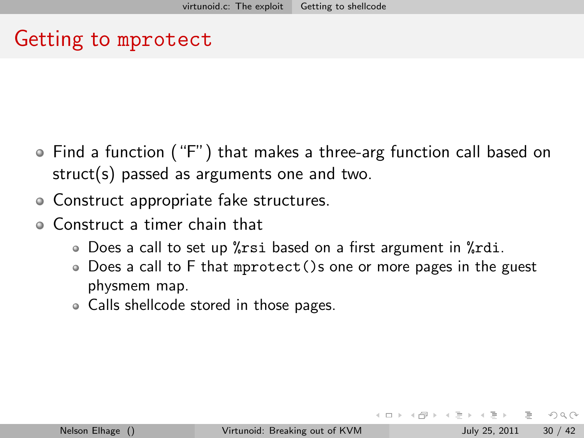# Getting to mprotect

- Find a function ("F") that makes a three-arg function call based on struct(s) passed as arguments one and two.
- Construct appropriate fake structures.
- Construct a timer chain that
	- Does a call to set up % rsi based on a first argument in % rdi.
	- Does a call to F that mprotect()s one or more pages in the guest physmem map.
	- Calls shellcode stored in those pages.

 $\Omega$ 

- 4 何 ト 4 ヨ ト 4 ヨ ト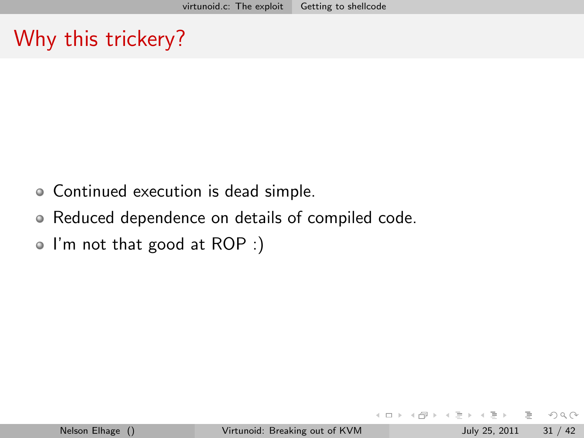# Why this trickery?

- Continued execution is dead simple.
- Reduced dependence on details of compiled code.
- I'm not that good at ROP :)

 $\leftarrow$   $\Box$   $\rightarrow$ 

 $OQ$ 

≮ 倒 ト ィ ヨ ト ィ ヨ ト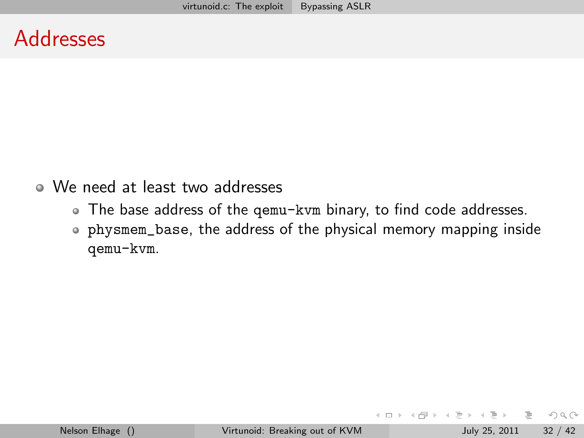### Addresses

- We need at least two addresses
	- The base address of the qemu-kvm binary, to find code addresses.
	- physmem\_base, the address of the physical memory mapping inside qemu-kvm.

 $\leftarrow$   $\Box$   $\rightarrow$ 

<span id="page-31-0"></span> $PQQQ$ 

バタトメモトメモト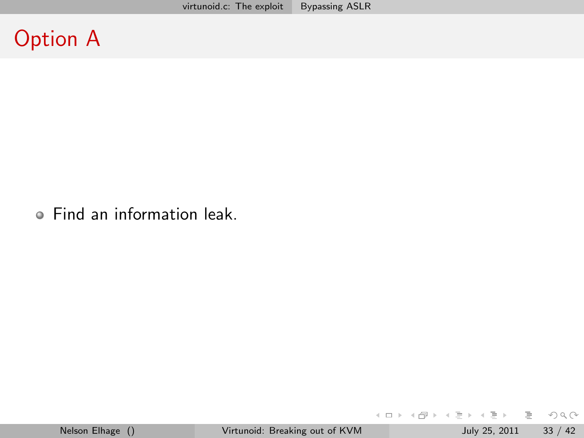# Option A

Find an information leak.

 $E \nabla Q \propto$ 

イロト イ部 トイモト イモト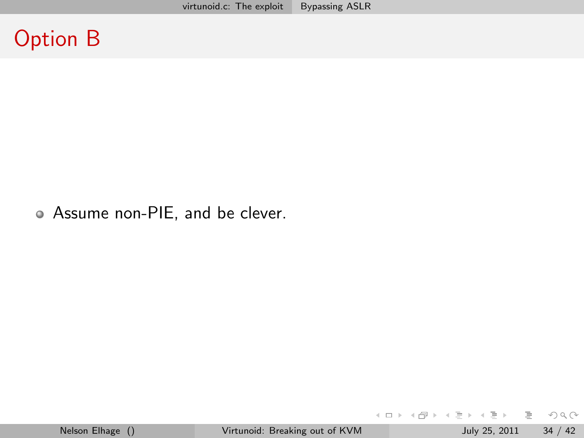### Option B

Assume non-PIE, and be clever.

 $E \nabla Q \propto$ 

イロト イ部 トイヨト イヨト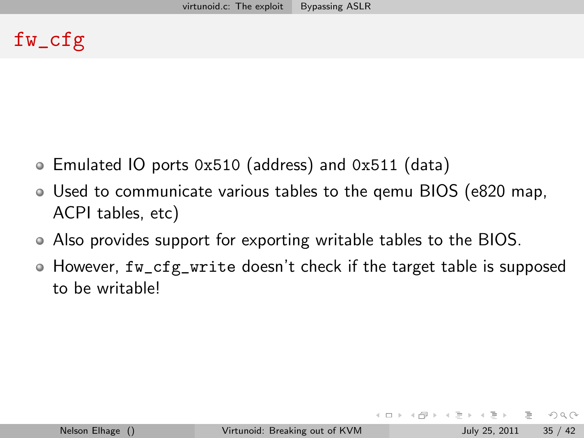### fw\_cfg

- Emulated IO ports 0x510 (address) and 0x511 (data)
- Used to communicate various tables to the qemu BIOS (e820 map, ACPI tables, etc)
- Also provides support for exporting writable tables to the BIOS.
- $\bullet$  However, fw\_cfg\_write doesn't check if the target table is supposed to be writable!

 $OQ$ 

イ何 ト イヨ ト イヨ ト

 $\leftarrow$   $\Box$   $\rightarrow$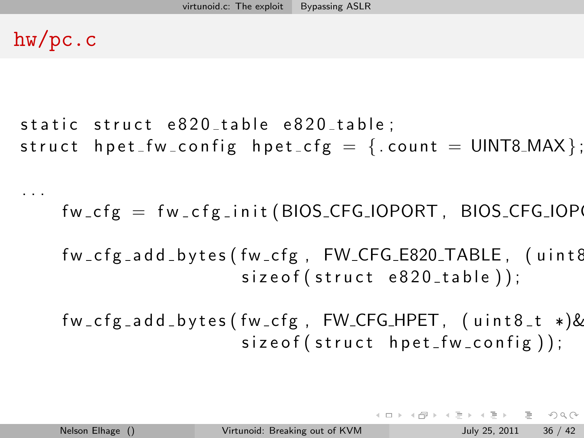### hw/pc.c

. . .

```
static struct e820_table e820_table;
struct hpet fw config hpet \mathsf{cfg} = \{ count = UINT8 MAX\};
```
 $fw_c fg = fw_c f g_i init (BIOS_c CFG_i OPORT, BIOS_c FG_i OPC$ 

fw\_cfg\_add\_bytes(fw\_cfg, FW\_CFG\_E820\_TABLE, (uint8  $size of (struct e820_table)$ ;

 $fw_cfg_a dd_bytes(fw_cfg, FW_cFG_HPET, (uint8_t *)$ &  $size of (struct hpet_fw\_config)$ ;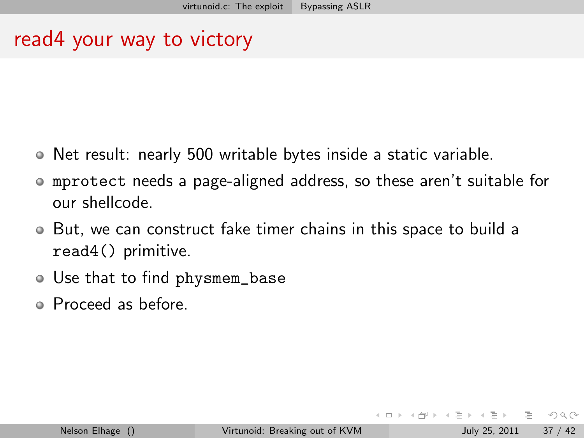### read4 your way to victory

- Net result: nearly 500 writable bytes inside a static variable.
- mprotect needs a page-aligned address, so these aren't suitable for  $\bullet$ our shellcode.
- But, we can construct fake timer chains in this space to build a read4() primitive.
- Use that to find physmem\_base
- Proceed as before.

 $OQ$ 

母 ▶ ヨ ヨ ▶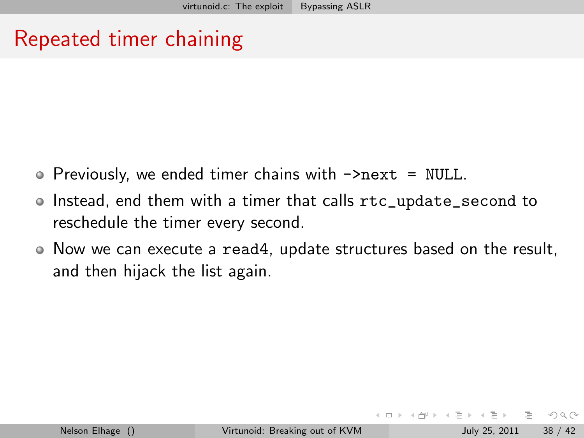# Repeated timer chaining

- $\bullet$  Previously, we ended timer chains with  $\rightarrow$ next = NULL.
- Instead, end them with a timer that calls rtc\_update\_second to reschedule the timer every second.
- $\bullet$  Now we can execute a read4, update structures based on the result, and then hijack the list again.

 $OQ$ 

 $\triangleright$   $\rightarrow$   $\exists$   $\triangleright$   $\rightarrow$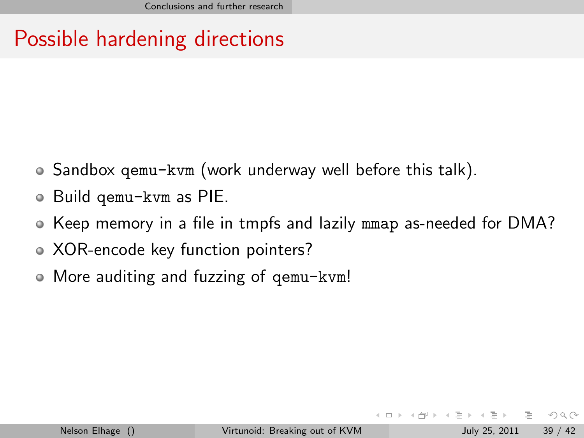# Possible hardening directions

- Sandbox qemu-kvm (work underway well before this talk).
- Build qemu-kvm as PIE.  $\bullet$
- Keep memory in a file in tmpfs and lazily mmap as-needed for DMA?
- XOR-encode key function pointers?  $\bullet$
- More auditing and fuzzing of qemu-kvm!  $\bullet$

<span id="page-38-0"></span> $OQ$ 

母 ▶ ヨ ヨ ▶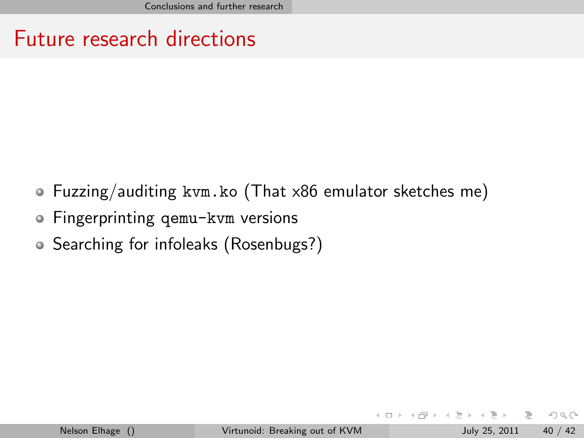### Future research directions

- Fuzzing/auditing kvm.ko (That x86 emulator sketches me)
- Fingerprinting qemu-kvm versions
- Searching for infoleaks (Rosenbugs?)

 $\leftarrow$   $\Box$   $\rightarrow$ 

4 何 ▶ -4 三 ▶

 $OQ$ 

 $\equiv$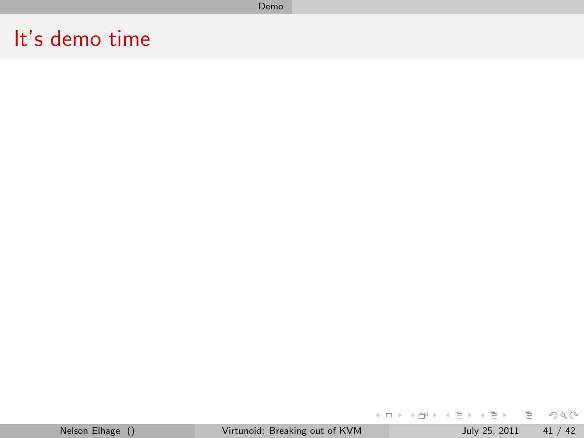#### Demo

### It's demo time

<span id="page-40-0"></span>**K ロ ▶ K 個 ▶ K ミ ▶ K ミ ▶ │ ミ │ め 9,0**